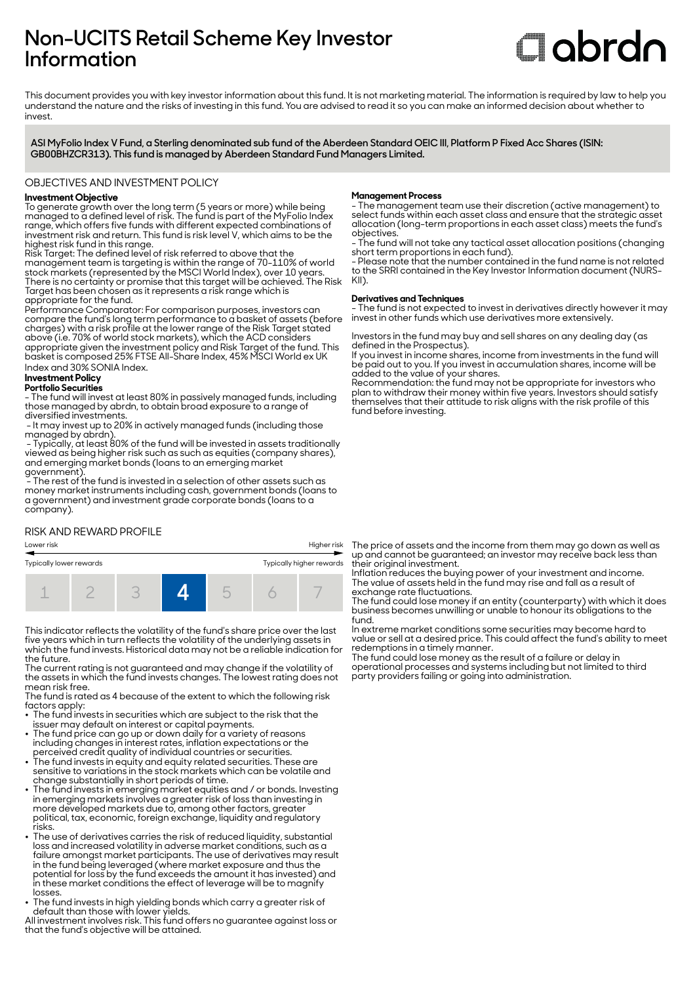# **Non-UCITS Retail Scheme Key Investor Information**

# **Clobrdn**

This document provides you with key investor information about this fund. It is not marketing material. The information is required by law to help you understand the nature and the risks of investing in this fund. You are advised to read it so you can make an informed decision about whether to invest

**ASI MyFolio Index V Fund, a Sterling denominated sub fund of the Aberdeen Standard OEIC III, Platform P Fixed Acc Shares (ISIN: GB00BHZCR313). This fund is managed by Aberdeen Standard Fund Managers Limited.**

OBJECTIVES AND INVESTMENT POLICY

# **Investment Objective**

To generate growth over the long term (5 years or more) while being managed to a defined level of risk. The fund is part of the MyFolio Index range, which offers five funds with different expected combinations of investment risk and return. This fund is risk level V, which aims to be the highest risk fund in this range.

Risk Target: The defined level of risk referred to above that the management team is targeting is within the range of 70-110% of world stock markets (represented by the MSCI World Index), over 10 years. There is no certainty or promise that this target will be achieved. The Risk Target has been chosen as it represents a risk range which is appropriate for the fund.

Performance Comparator: For comparison purposes, investors can compare the fund's long term performance to a basket of assets (before charges) with a risk profile at the lower range of the Risk Target stated above (i.e. 70% of world stock markets), which the ACD considers appropriate given the investment policy and Risk Target of the fund. This basket is composed 25% FTSE All-Share Index, 45% MSCI World ex UK Index and 30% SONIA Index.

# **Investment Policy**

**Portfolio Securities**

- The fund will invest at least 80% in passively managed funds, including those managed by abrdn, to obtain broad exposure to a range of diversified investments.

 - It may invest up to 20% in actively managed funds (including those managed by abrdn).

 - Typically, at least 80% of the fund will be invested in assets traditionally viewed as being higher risk such as such as equities (company shares), and emerging market bonds (loans to an emerging market government).

 $\widetilde{\phantom{a}}$  The rest of the fund is invested in a selection of other assets such as money market instruments including cash, government bonds (loans to a government) and investment grade corporate bonds (loans to a company).

# RISK AND REWARD PROFILE



This indicator reflects the volatility of the fund's share price over the last five years which in turn reflects the volatility of the underlying assets in which the fund invests. Historical data may not be a reliable indication for the future.

The current rating is not guaranteed and may change if the volatility of the assets in which the fund invests changes. The lowest rating does not mean risk free.

The fund is rated as 4 because of the extent to which the following risk factors apply:

- The fund invests in securities which are subject to the risk that the issuer may default on interest or capital payments.
- The fund price can go up or down daily for a variety of reasons including changes in interest rates, inflation expectations or the perceived credit quality of individual countries or securities. 2 The fund invests in equity and equity related securities. These are
- sensitive to variations in the stock markets which can be volatile and change substantially in short periods of time.
- The fund invests in emerging market equities and / or bonds. Investing in emerging markets involves a greater risk of loss than investing in more developed markets due to, among other factors, greater political, tax, economic, foreign exchange, liquidity and regulatory risks.
- The use of derivatives carries the risk of reduced liquidity, substantial loss and increased volatility in adverse market conditions, such as a failure amongst market participants. The use of derivatives may result in the fund being leveraged (where market exposure and thus the potential for loss by the fund exceeds the amount it has invested) and in these market conditions the effect of leverage will be to magnify losses.
- $\bullet~$  The fund invests in high yielding bonds which carry a greater risk of default than those with lower yields.

All investment involves risk. This fund offers no guarantee against loss or that the fund's objective will be attained.

## **Management Process**

- The management team use their discretion (active management) to select funds within each asset class and ensure that the strategic asset allocation (long-term proportions in each asset class) meets the fund's objectives.

- The fund will not take any tactical asset allocation positions (changing short term proportions in each fund).

- Please note that the number contained in the fund name is not related to the SRRI contained in the Key Investor Information document (NURS-KII).

### **Derivatives and Techniques**

- The fund is not expected to invest in derivatives directly however it may invest in other funds which use derivatives more extensively.

Investors in the fund may buy and sell shares on any dealing day (as defined in the Prospectus).

If you invest in income shares, income from investments in the fund will be paid out to you. If you invest in accumulation shares, income will be added to the value of your shares.

Recommendation: the fund may not be appropriate for investors who plan to withdraw their money within five years. Investors should satisfy themselves that their attitude to risk aligns with the risk profile of this fund before investing.

The price of assets and the income from them may go down as well as up and cannot be guaranteed; an investor may receive back less than their original investment.

Inflation reduces the buying power of your investment and income. The value of assets held in the fund may rise and fall as a result of exchange rate fluctuations.

The fund could lose money if an entity (counterparty) with which it does business becomes unwilling or unable to honour its obligations to the fund.

In extreme market conditions some securities may become hard to value or sell at a desired price. This could affect the fund's ability to meet redemptions in a timely manner.

The fund could lose money as the result of a failure or delay in operational processes and systems including but not limited to third party providers failing or going into administration.